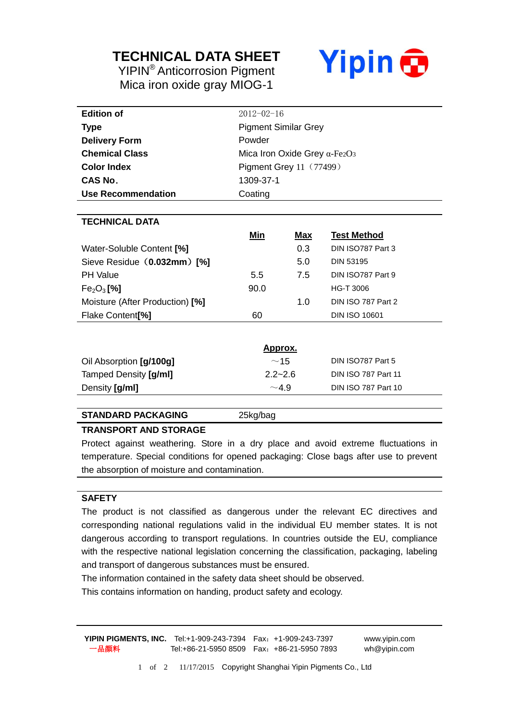## **TECHNICAL DATA SHEET**

YIPIN® Anticorrosion Pigment Mica iron oxide gray MIOG-1



| <b>Edition of</b>                  | $2012 - 02 - 16$                     |            |                            |  |
|------------------------------------|--------------------------------------|------------|----------------------------|--|
| <b>Type</b>                        | <b>Pigment Similar Grey</b>          |            |                            |  |
| <b>Delivery Form</b>               | Powder                               |            |                            |  |
| <b>Chemical Class</b>              | Mica Iron Oxide Grey $\alpha$ -Fe2O3 |            |                            |  |
| <b>Color Index</b>                 | <b>Pigment Grey 11 (77499)</b>       |            |                            |  |
| CAS No.                            | 1309-37-1                            |            |                            |  |
| Use Recommendation                 | Coating                              |            |                            |  |
|                                    |                                      |            |                            |  |
| <b>TECHNICAL DATA</b>              |                                      |            |                            |  |
|                                    | Min                                  | <u>Max</u> | <b>Test Method</b>         |  |
| Water-Soluble Content [%]          |                                      | 0.3        | DIN ISO787 Part 3          |  |
| Sieve Residue (0.032mm) [%]        |                                      | 5.0        | <b>DIN 53195</b>           |  |
| <b>PH Value</b>                    | 5.5                                  | 7.5        | DIN ISO787 Part 9          |  |
| Fe <sub>2</sub> O <sub>3</sub> [%] | 90.0                                 |            | HG-T 3006                  |  |
| Moisture (After Production) [%]    |                                      | 1.0        | DIN ISO 787 Part 2         |  |
| Flake Content <sup>[%]</sup>       | 60                                   |            | <b>DIN ISO 10601</b>       |  |
|                                    |                                      |            |                            |  |
|                                    | <u>Approx.</u>                       |            |                            |  |
| Oil Absorption [g/100g]            | ~15                                  |            | DIN ISO787 Part 5          |  |
| Tamped Density [g/ml]              | $2.2 - 2.6$                          |            | <b>DIN ISO 787 Part 11</b> |  |

#### **STANDARD PACKAGING** 25kg/bag

#### **TRANSPORT AND STORAGE**

Protect against weathering. Store in a dry place and avoid extreme fluctuations in temperature. Special conditions for opened packaging: Close bags after use to prevent the absorption of moisture and contamination.

Density  $\left[\frac{g}{m}\right]$  **Din ISO 787 Part 10** 

#### **SAFETY**

The product is not classified as dangerous under the relevant EC directives and corresponding national regulations valid in the individual EU member states. It is not dangerous according to transport regulations. In countries outside the EU, compliance with the respective national legislation concerning the classification, packaging, labeling and transport of dangerous substances must be ensured.

The information contained in the safety data sheet should be observed.

This contains information on handing, product safety and ecology.

**YIPIN PIGMENTS, INC.** Tel:+1-909-243-7394 Fax:+1-909-243-7397 www.yipin.com 一品颜料 Tel:+86-21-5950 8509 Fax:+86-21-5950 7893 wh@yipin.com

1 of 2 11/17/2015 Copyright Shanghai Yipin Pigments Co., Ltd